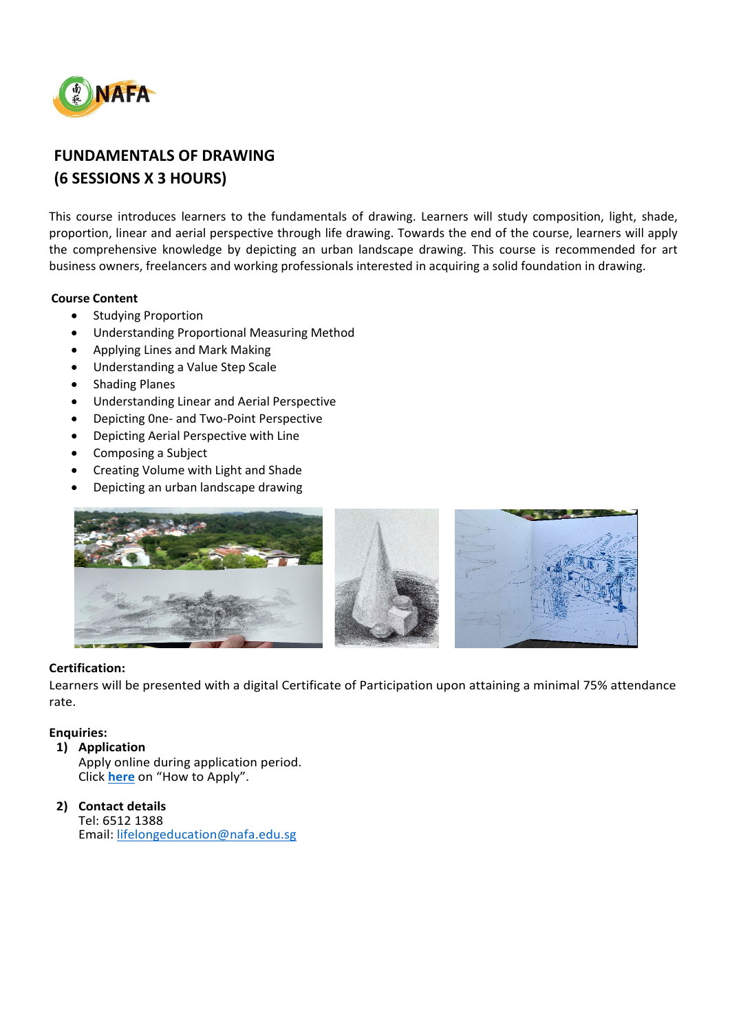

# **FUNDAMENTALS OF DRAWING (6 SESSIONS X 3 HOURS)**

This course introduces learners to the fundamentals of drawing. Learners will study composition, light, shade, proportion, linear and aerial perspective through life drawing. Towards the end of the course, learners will apply the comprehensive knowledge by depicting an urban landscape drawing. This course is recommended for art business owners, freelancers and working professionals interested in acquiring a solid foundation in drawing.

## **Course Content**

- Studying Proportion
- Understanding Proportional Measuring Method
- Applying Lines and Mark Making
- Understanding a Value Step Scale
- Shading Planes
- Understanding Linear and Aerial Perspective
- Depicting 0ne- and Two-Point Perspective
- Depicting Aerial Perspective with Line
- Composing a Subject
- Creating Volume with Light and Shade
- Depicting an urban landscape drawing



#### **Certification:**

Learners will be presented with a digital Certificate of Participation upon attaining a minimal 75% attendance rate.

## **Enquiries:**

#### **1) Application**

Apply online during application period. Click **[here](https://www.nafa.edu.sg/courses/part-time/short-courses#collapseFive)** on "How to Apply".

### **2) Contact details**

Tel: 6512 1388 Email: [lifelongeducation@nafa.edu.sg](mailto:lifelongeducation@nafa.edu.sg)